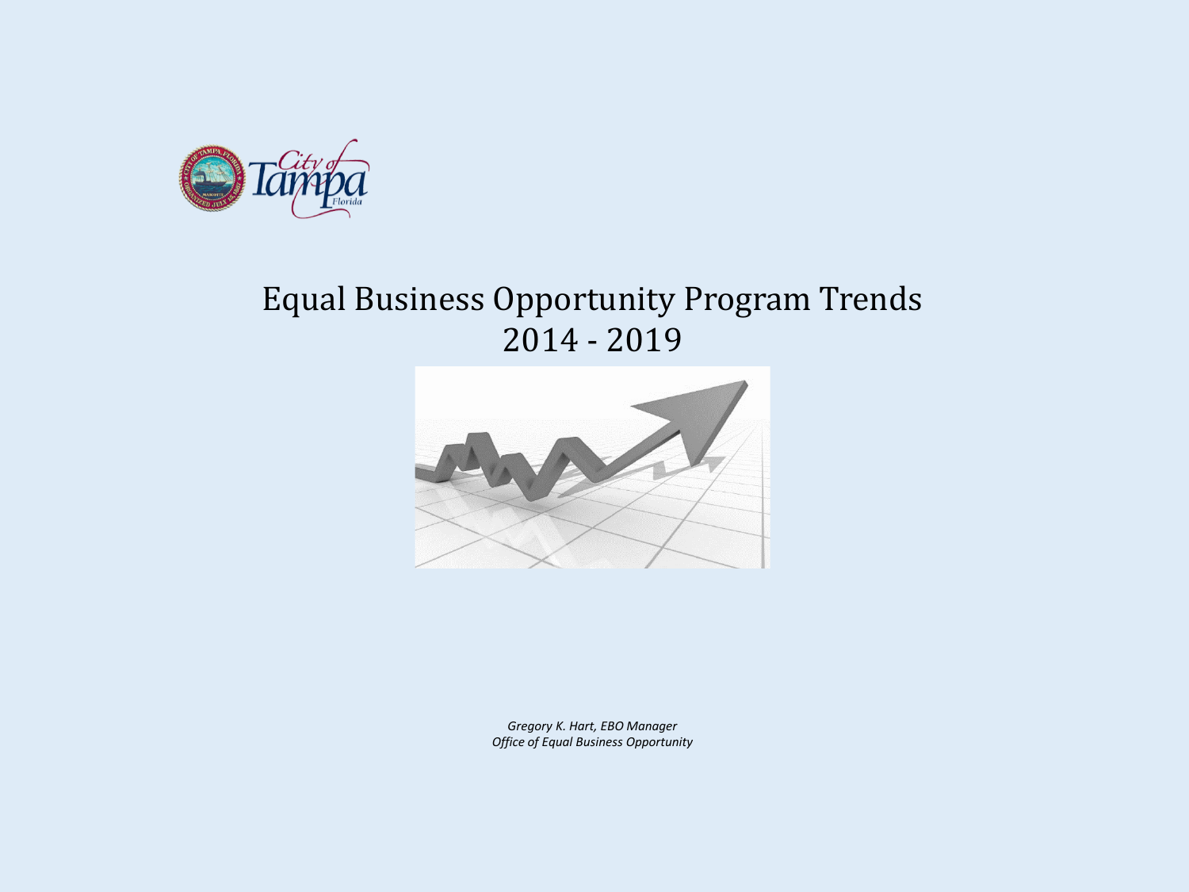

# Equal Business Opportunity Program Trends 2014 - 2019



*Gregory K. Hart, EBO Manager Office of Equal Business Opportunity*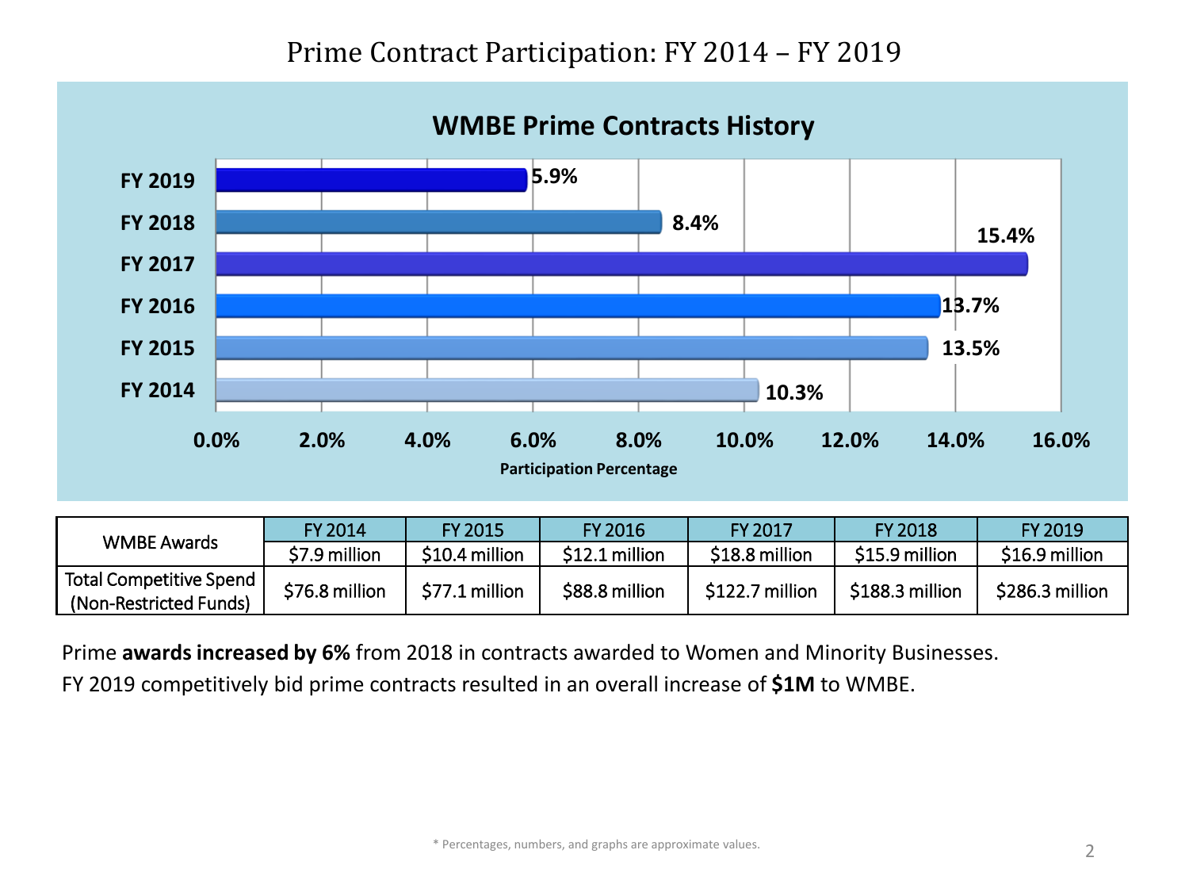## Prime Contract Participation: FY 2014 – FY 2019

#### **WMBE Prime Contracts History**



|                         | FY 2014        | <b>EY 2015</b> | <b>FY 2016</b> | FY 2017         | <b>FY 2018</b>  | FY 2019         |
|-------------------------|----------------|----------------|----------------|-----------------|-----------------|-----------------|
| <b>WMBE Awards</b>      | \$7.9 million  | \$10.4 million | \$12.1 million | \$18.8 million  | \$15.9 million  | \$16.9 million  |
| Total Competitive Spend | \$76.8 million | \$77.1 million | \$88.8 million | \$122.7 million | \$188.3 million | \$286.3 million |
| (Non-Restricted Funds)  |                |                |                |                 |                 |                 |

Prime **awardsincreased by 6%** from 2018 in contracts awarded to Women and Minority Businesses.

FY 2019 competitively bid prime contracts resulted in an overall increase of **\$1M** to WMBE.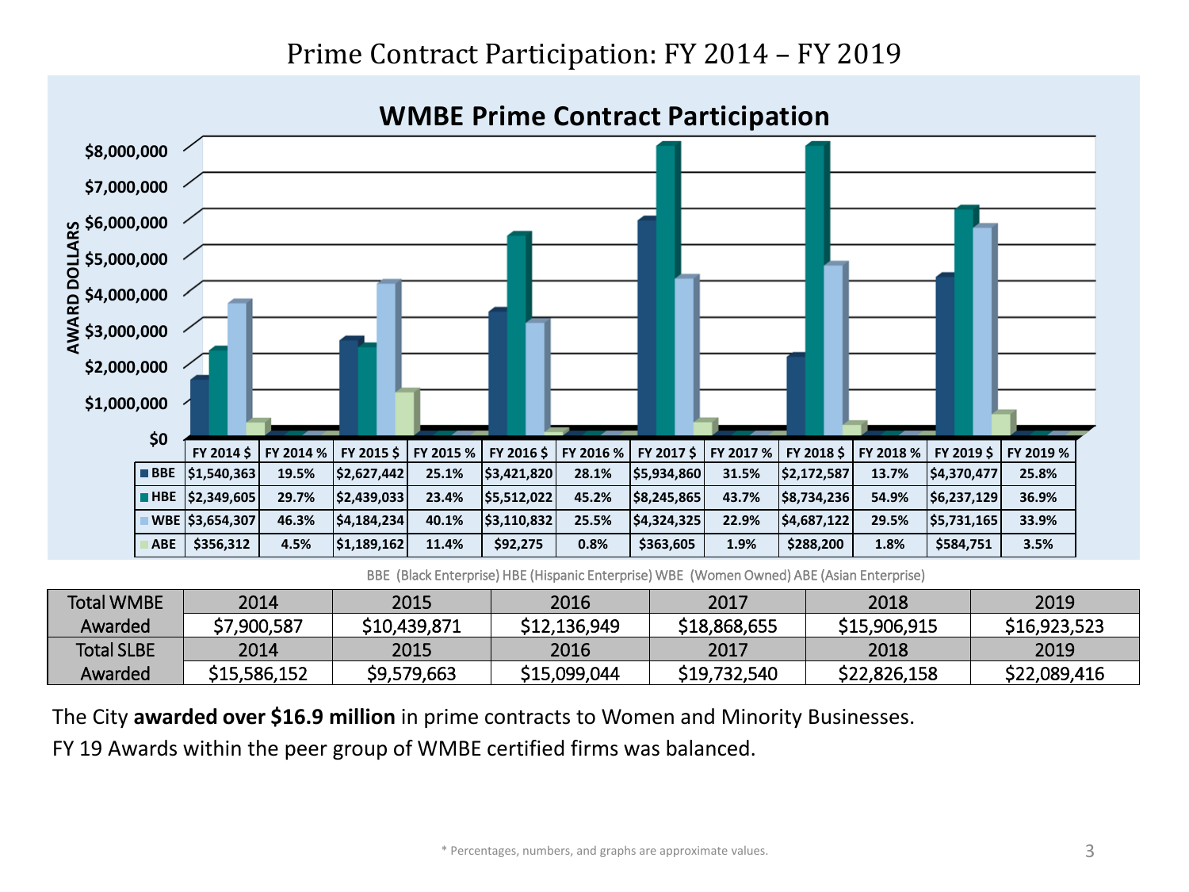### Prime Contract Participation: FY 2014 – FY 2019



BBE (Black Enterprise) HBE (Hispanic Enterprise) WBE (Women Owned) ABE (Asian Enterprise)

| <b>Total WMBE</b> | 2014         | 2015         | 2016         | 2017         | 2018         | 2019         |
|-------------------|--------------|--------------|--------------|--------------|--------------|--------------|
| Awarded           | \$7,900,587  | \$10,439,871 | \$12,136,949 | \$18,868,655 | \$15,906,915 | \$16,923,523 |
| <b>Total SLBE</b> | 2014         | 2015         | 2016         | 2017         | 2018         | 2019         |
| Awarded           | \$15,586,152 | \$9,579,663  | \$15,099,044 | \$19,732,540 | \$22,826,158 | \$22,089,416 |

The City **awarded over \$16.9 million** in prime contracts to Women and Minority Businesses.

FY 19 Awards within the peer group of WMBE certified firms was balanced.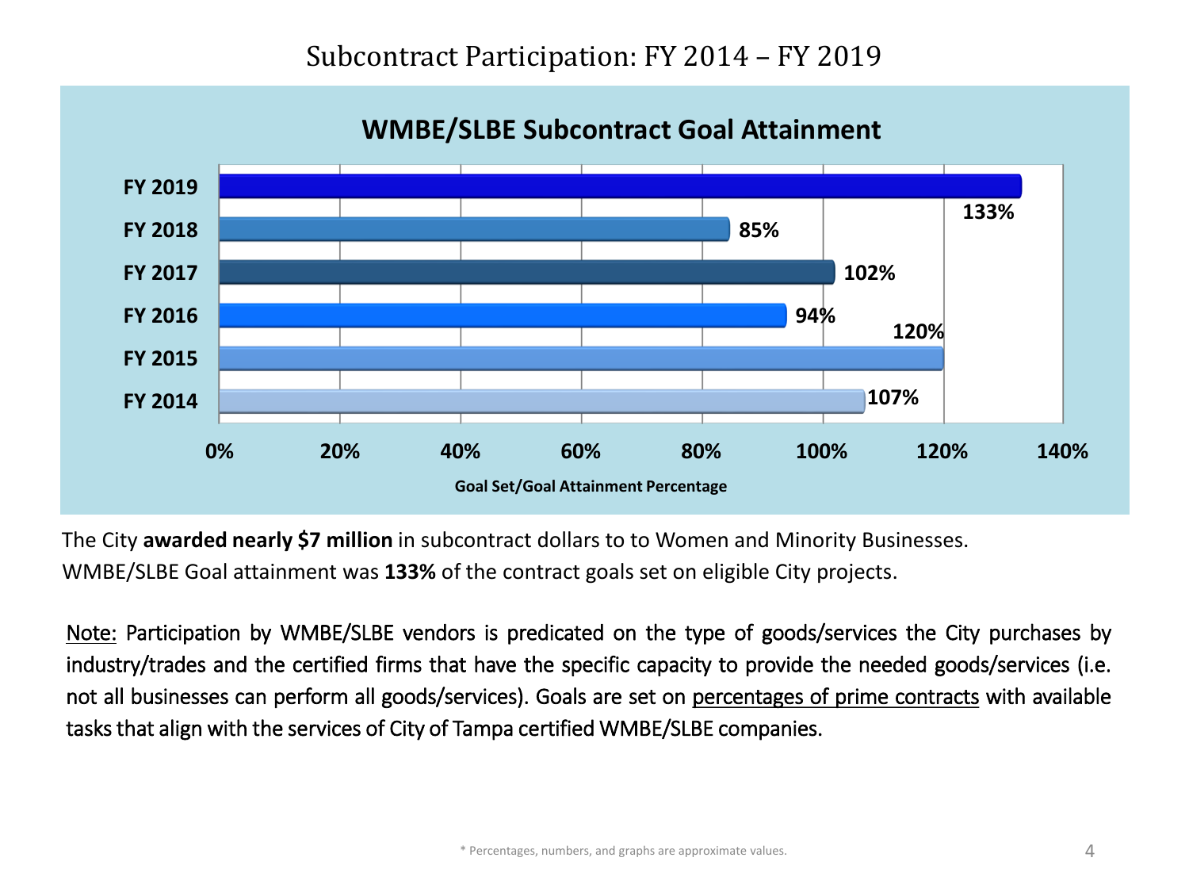**Percentage of Project Goals Attained Goal Set/Goal Attainment Percentage 0% 20% 40% 60% 80% 100% 120% 140% FY 2014 FY 2015 FY 2016 FY 2017 FY 2018 FY 2019 107% 120% 94% 102% 85% 133%**

**WMBE/SLBE Subcontract Goal Attainment**

The City **awarded nearly \$7 million** in subcontract dollars to to Women and Minority Businesses.

WMBE/SLBE Goal attainment was **133%** of the contract goals set on eligible City projects.

Note: Participation by WMBE/SLBE vendors is predicated on the type of goods/services the City purchases by industry/trades and the certified firms that have the specific capacity to provide the needed goods/services (i.e. not all businesses can perform all goods/services). Goals are set on percentages of prime contracts with available tasksthat align with the services of City of Tampa certified WMBE/SLBE companies.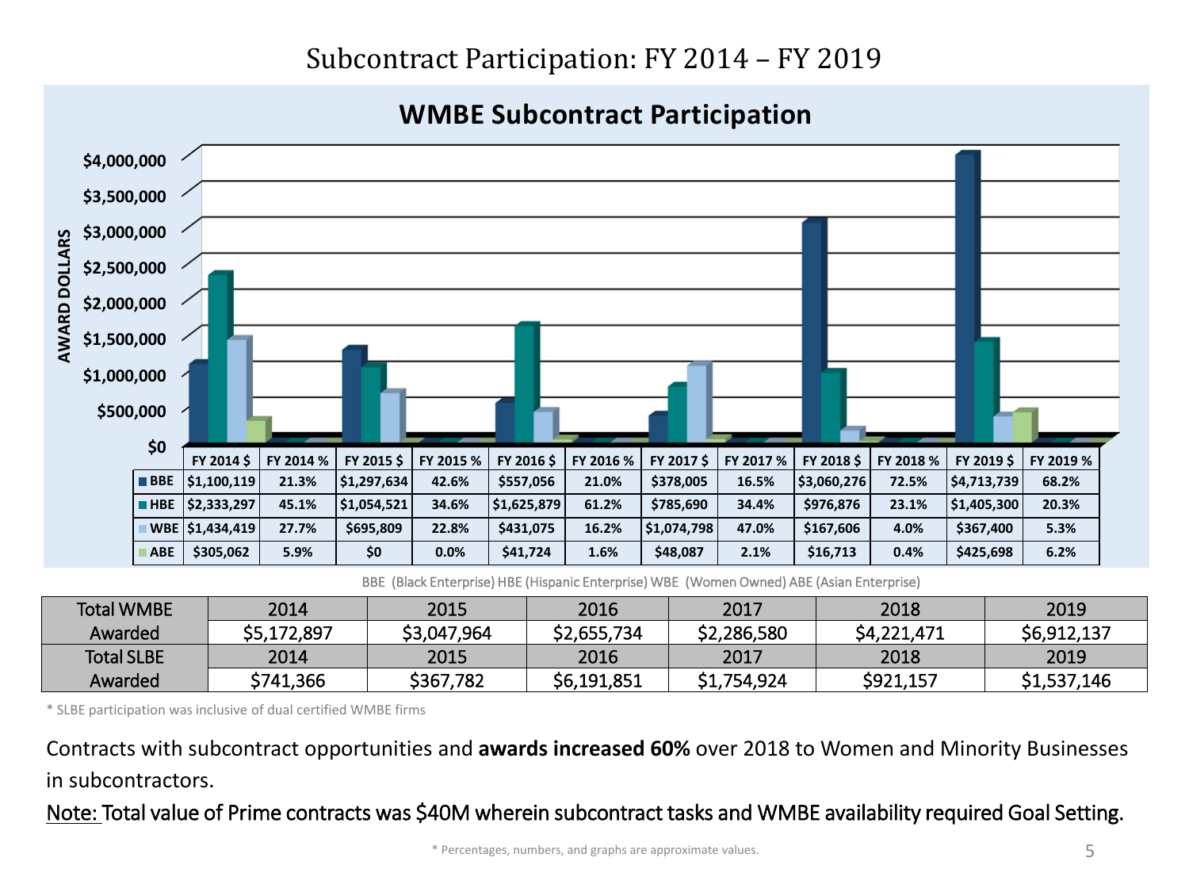# Subcontract Participation: FY 2014 – FY 2019

#### **WMBE Subcontract Participation**



BBE (Black Enterprise) HBE (Hispanic Enterprise) WBE (Women Owned) ABE (Asian Enterprise)

| <b>Total WMBE</b> | 2014        | 2015        | 2016        | 2017        | 2018        | 2019        |
|-------------------|-------------|-------------|-------------|-------------|-------------|-------------|
| Awarded           | \$5,172,897 | \$3,047,964 | \$2,655,734 | \$2,286,580 | \$4,221,471 | \$6,912,137 |
| <b>Total SLBE</b> | 2014        | 2015        | 2016        | 2017        | 2018        | 2019        |
| Awarded           | \$741,366   | \$367,782   | \$6,191,851 | \$1,754,924 | \$921,157   | \$1,537,146 |

\* SLBE participation was inclusive of dual certified WMBE firms

Contracts with subcontract opportunities and **awards increased 60%** over 2018 to Women and Minority Businesses in subcontractors.

Note: Total value of Prime contracts was \$40M wherein subcontract tasks and WMBE availability required Goal Setting.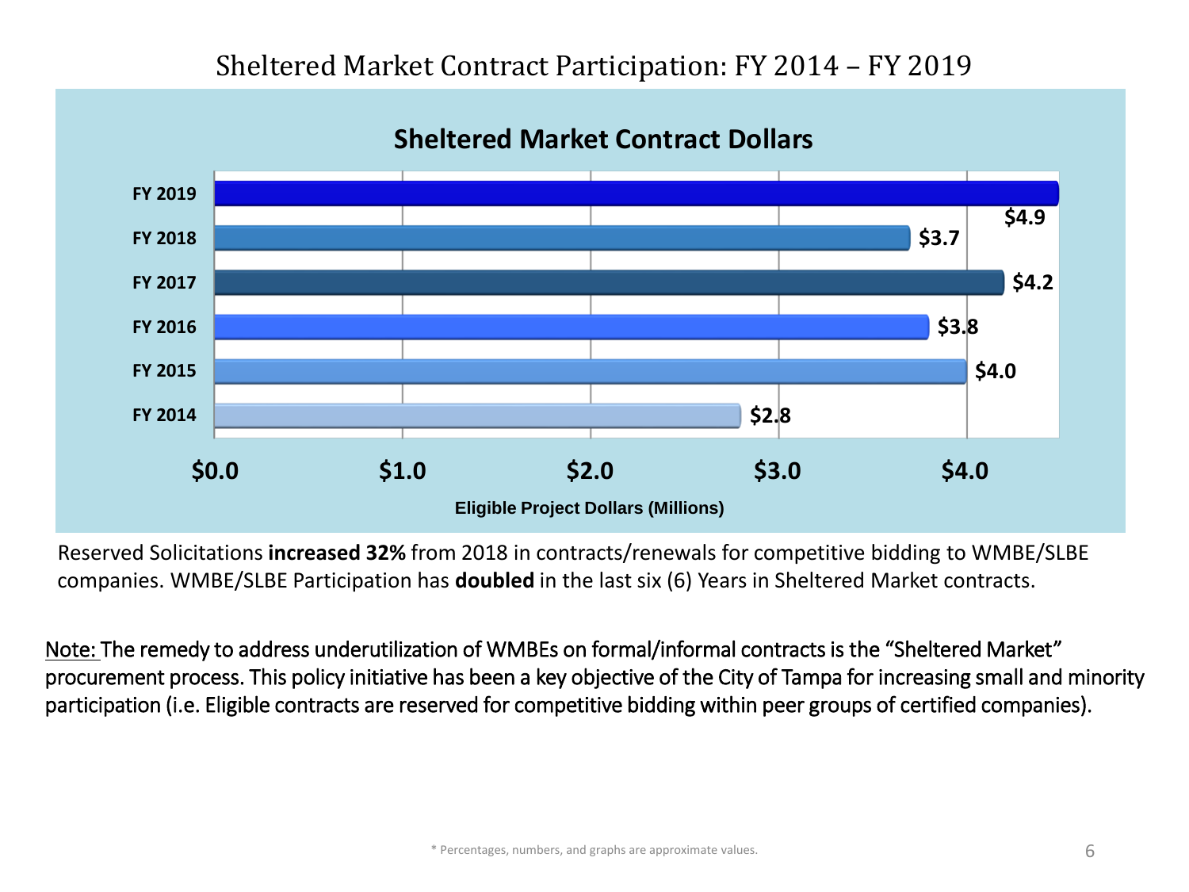### Sheltered Market Contract Participation: FY 2014 – FY 2019



Reserved Solicitations **increased 32%** from 2018 in contracts/renewals for competitive bidding to WMBE/SLBE companies. WMBE/SLBE Participation has **doubled** in the last six (6) Years in Sheltered Market contracts.

Note: The remedy to address underutilization of WMBEs on formal/informal contracts is the "Sheltered Market" procurement process. This policy initiative has been a key objective of the City of Tampa for increasing small and minority participation (i.e. Eligible contracts are reserved for competitive bidding within peer groups of certified companies).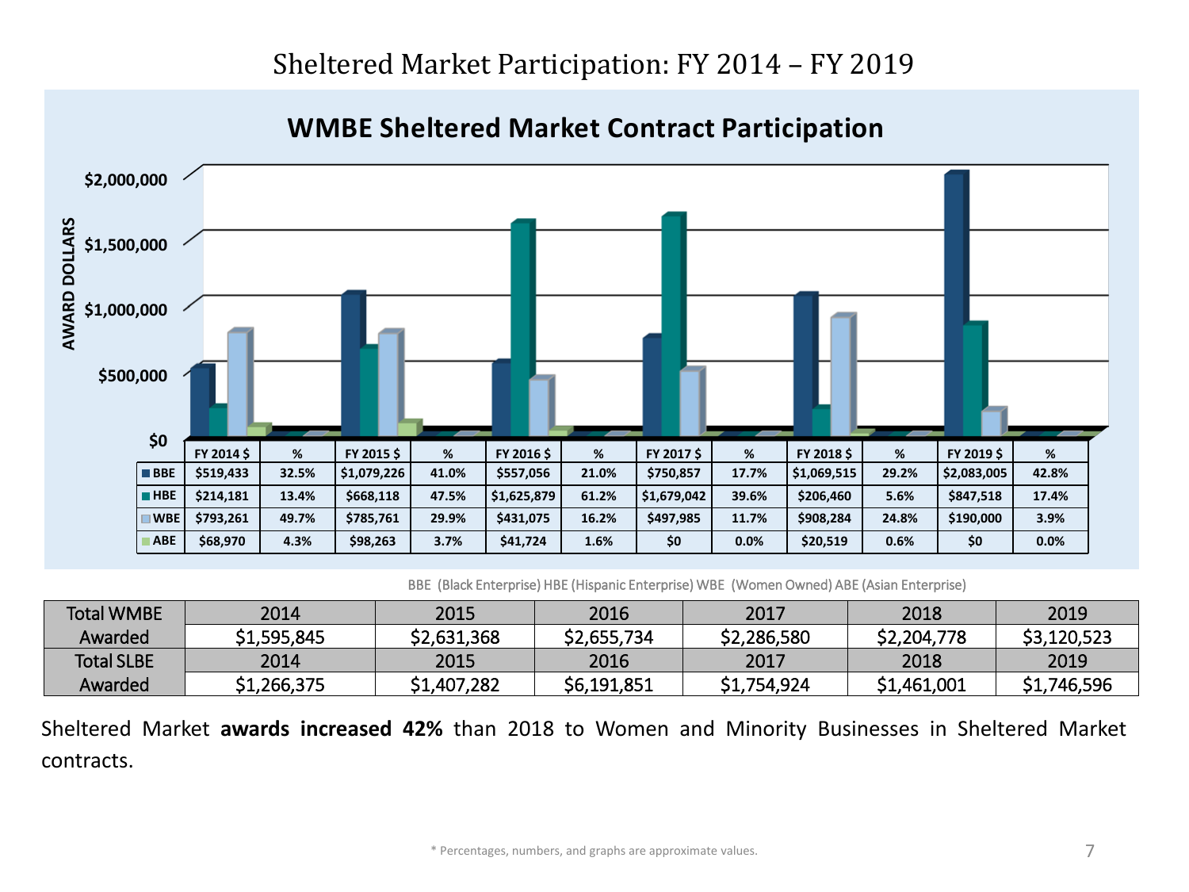

**WMBE Sheltered Market Contract Participation**

BBE (Black Enterprise) HBE (Hispanic Enterprise) WBE (Women Owned) ABE (Asian Enterprise)

| <b>Total WMBE</b> | 2014        | 2015        | 2016        | 2017        | 2018        | 2019        |
|-------------------|-------------|-------------|-------------|-------------|-------------|-------------|
| Awarded           | \$1,595,845 | \$2,631,368 | \$2,655,734 | \$2,286,580 | \$2,204,778 | \$3,120,523 |
| <b>Total SLBE</b> | 2014        | 2015        | 2016        | 2017        | 2018        | 2019        |
| Awarded           | \$1,266,375 | \$1,407,282 | \$6,191,851 | \$1,754,924 | \$1,461,001 | \$1,746,596 |

Sheltered Market **awards increased 42%** than 2018 to Women and Minority Businesses in Sheltered Market contracts.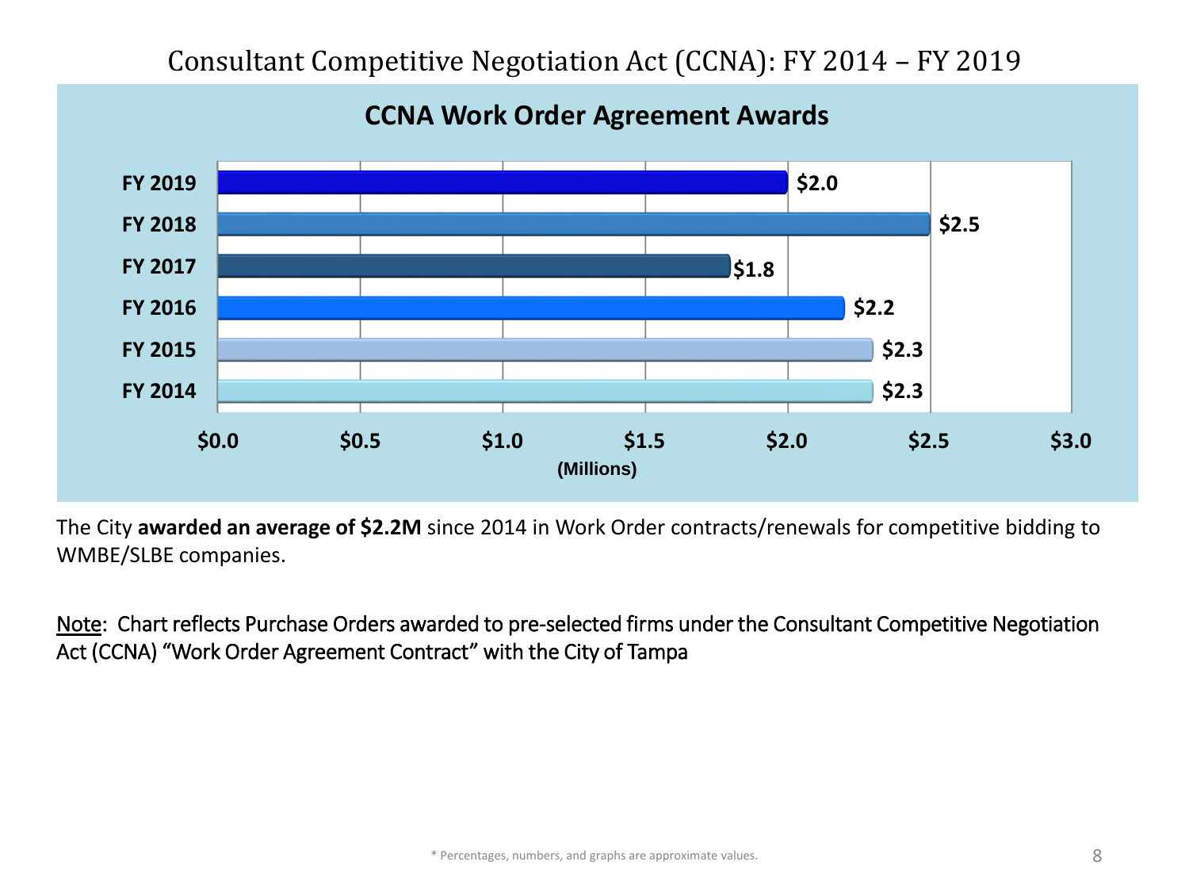# Consultant Competitive Negotiation Act (CCNA): FY 2014 – FY 2019



#### **CCNA Work Order Agreement Awards**

The City **awarded an average of \$2.2M** since 2014 in Work Order contracts/renewals for competitive bidding to WMBE/SLBE companies.

Note: Chart reflects Purchase Orders awarded to pre-selected firms under the Consultant Competitive Negotiation Act (CCNA) "Work Order Agreement Contract" with the City of Tampa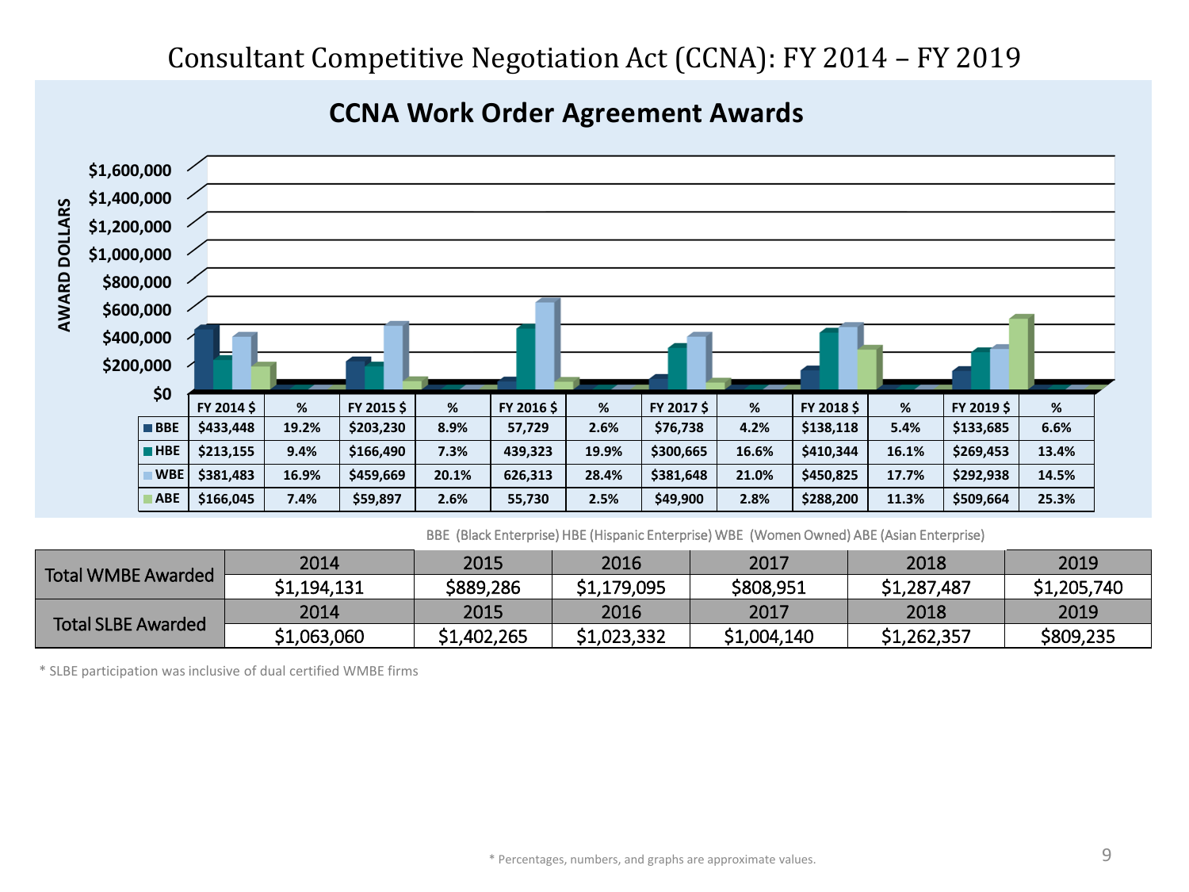![](_page_8_Figure_1.jpeg)

![](_page_8_Figure_2.jpeg)

BBE (Black Enterprise) HBE (Hispanic Enterprise) WBE (Women Owned) ABE (Asian Enterprise)

| <b>Total WMBE Awarded</b> | 2014        | 2015        | 2016        | 2017        | 2018        | 2019        |
|---------------------------|-------------|-------------|-------------|-------------|-------------|-------------|
|                           | \$1,194,131 | \$889,286   | \$1,179,095 | \$808,951   | \$1,287,487 | \$1,205,740 |
| <b>Total SLBE Awarded</b> | 2014        | 2015        | 2016        | 2017        | 2018        | 2019        |
|                           | \$1,063,060 | \$1,402,265 | \$1,023,332 | \$1,004,140 | \$1,262,357 | \$809,235   |

\* SLBE participation was inclusive of dual certified WMBE firms